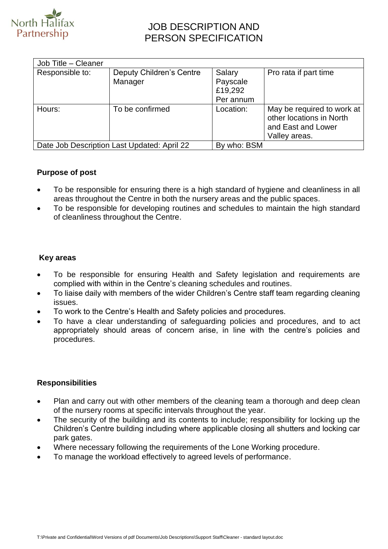

# JOB DESCRIPTION AND PERSON SPECIFICATION

| Responsible to: | <b>Deputy Children's Centre</b><br>Manager | Salary<br>Payscale<br>£19,292<br>Per annum | Pro rata if part time                                                                         |
|-----------------|--------------------------------------------|--------------------------------------------|-----------------------------------------------------------------------------------------------|
| Hours:          | To be confirmed                            | Location:                                  | May be required to work at<br>other locations in North<br>and East and Lower<br>Valley areas. |

## **Purpose of post**

- To be responsible for ensuring there is a high standard of hygiene and cleanliness in all areas throughout the Centre in both the nursery areas and the public spaces.
- To be responsible for developing routines and schedules to maintain the high standard of cleanliness throughout the Centre.

#### **Key areas**

- To be responsible for ensuring Health and Safety legislation and requirements are complied with within in the Centre's cleaning schedules and routines.
- To liaise daily with members of the wider Children's Centre staff team regarding cleaning issues.
- To work to the Centre's Health and Safety policies and procedures.
- To have a clear understanding of safeguarding policies and procedures, and to act appropriately should areas of concern arise, in line with the centre's policies and procedures.

#### **Responsibilities**

- Plan and carry out with other members of the cleaning team a thorough and deep clean of the nursery rooms at specific intervals throughout the year.
- The security of the building and its contents to include; responsibility for locking up the Children's Centre building including where applicable closing all shutters and locking car park gates.
- Where necessary following the requirements of the Lone Working procedure.
- To manage the workload effectively to agreed levels of performance.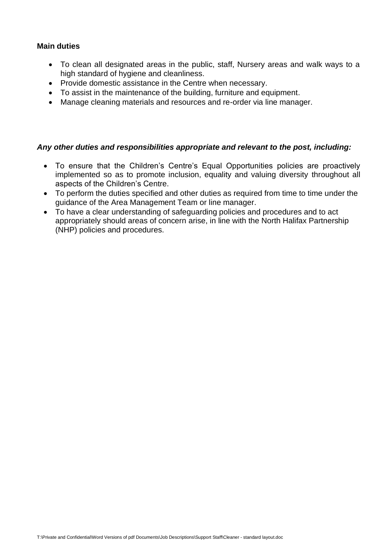### **Main duties**

- To clean all designated areas in the public, staff, Nursery areas and walk ways to a high standard of hygiene and cleanliness.
- Provide domestic assistance in the Centre when necessary.
- To assist in the maintenance of the building, furniture and equipment.
- Manage cleaning materials and resources and re-order via line manager.

#### *Any other duties and responsibilities appropriate and relevant to the post, including:*

- To ensure that the Children's Centre's Equal Opportunities policies are proactively implemented so as to promote inclusion, equality and valuing diversity throughout all aspects of the Children's Centre.
- To perform the duties specified and other duties as required from time to time under the guidance of the Area Management Team or line manager.
- To have a clear understanding of safeguarding policies and procedures and to act appropriately should areas of concern arise, in line with the North Halifax Partnership (NHP) policies and procedures.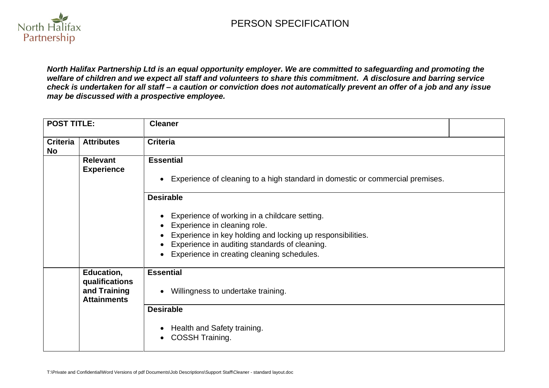

*North Halifax Partnership Ltd is an equal opportunity employer. We are committed to safeguarding and promoting the welfare of children and we expect all staff and volunteers to share this commitment. A disclosure and barring service check is undertaken for all staff – a caution or conviction does not automatically prevent an offer of a job and any issue may be discussed with a prospective employee.*

| <b>POST TITLE:</b>           |                                                                    | <b>Cleaner</b>                                                                                                                                                                                                                                                 |
|------------------------------|--------------------------------------------------------------------|----------------------------------------------------------------------------------------------------------------------------------------------------------------------------------------------------------------------------------------------------------------|
| <b>Criteria</b><br><b>No</b> | <b>Attributes</b>                                                  | <b>Criteria</b>                                                                                                                                                                                                                                                |
|                              | <b>Relevant</b><br><b>Experience</b>                               | <b>Essential</b><br>Experience of cleaning to a high standard in domestic or commercial premises.<br>$\bullet$                                                                                                                                                 |
|                              |                                                                    | <b>Desirable</b><br>Experience of working in a childcare setting.<br>Experience in cleaning role.<br>Experience in key holding and locking up responsibilities.<br>Experience in auditing standards of cleaning.<br>Experience in creating cleaning schedules. |
|                              | Education,<br>qualifications<br>and Training<br><b>Attainments</b> | <b>Essential</b><br>Willingness to undertake training.<br><b>Desirable</b><br>Health and Safety training.<br>COSSH Training.                                                                                                                                   |